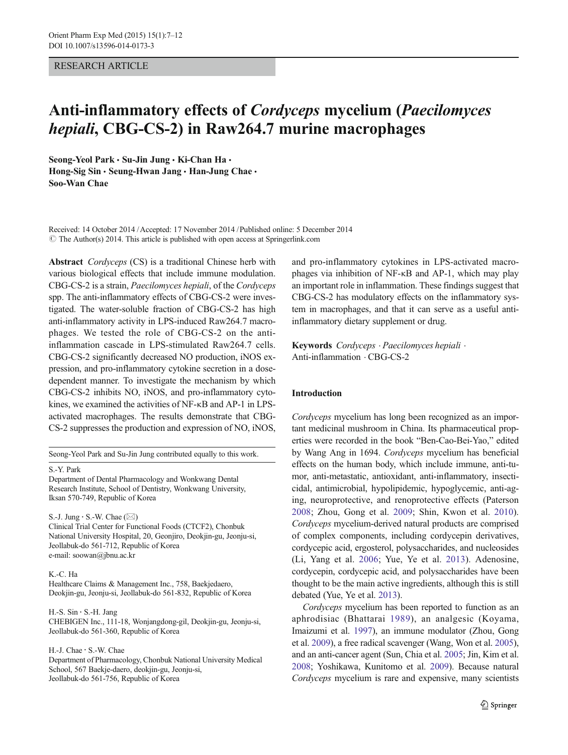## RESEARCH ARTICLE

# Anti-inflammatory effects of Cordyceps mycelium (Paecilomyces hepiali, CBG-CS-2) in Raw264.7 murine macrophages

Seong-Yeol Park · Su-Jin Jung · Ki-Chan Ha · Hong-Sig Sin · Seung-Hwan Jang · Han-Jung Chae · Soo-Wan Chae

Received: 14 October 2014 /Accepted: 17 November 2014 / Published online: 5 December 2014  $\odot$  The Author(s) 2014. This article is published with open access at Springerlink.com

Abstract Cordyceps (CS) is a traditional Chinese herb with various biological effects that include immune modulation. CBG-CS-2 is a strain, Paecilomyces hepiali, of the Cordyceps spp. The anti-inflammatory effects of CBG-CS-2 were investigated. The water-soluble fraction of CBG-CS-2 has high anti-inflammatory activity in LPS-induced Raw264.7 macrophages. We tested the role of CBG-CS-2 on the antiinflammation cascade in LPS-stimulated Raw264.7 cells. CBG-CS-2 significantly decreased NO production, iNOS expression, and pro-inflammatory cytokine secretion in a dosedependent manner. To investigate the mechanism by which CBG-CS-2 inhibits NO, iNOS, and pro-inflammatory cytokines, we examined the activities of NF-κB and AP-1 in LPSactivated macrophages. The results demonstrate that CBG-CS-2 suppresses the production and expression of NO, iNOS,

Seong-Yeol Park and Su-Jin Jung contributed equally to this work.

## S.<Y. Park

Department of Dental Pharmacology and Wonkwang Dental Research Institute, School of Dentistry, Wonkwang University, Iksan 570-749, Republic of Korea

S.-J. Jung  $\cdot$  S.-W. Chae ( $\boxtimes$ )

Clinical Trial Center for Functional Foods (CTCF2), Chonbuk National University Hospital, 20, Geonjiro, Deokjin-gu, Jeonju-si, Jeollabuk-do 561-712, Republic of Korea e-mail: soowan@jbnu.ac.kr

#### K.<C. Ha

Healthcare Claims & Management Inc., 758, Baekjedaero, Deokjin-gu, Jeonju-si, Jeollabuk-do 561-832, Republic of Korea

H.-S. Sin · S.-H. Jang CHEBIGEN Inc., 111-18, Wonjangdong-gil, Deokjin-gu, Jeonju-si, Jeollabuk-do 561-360, Republic of Korea

H.<J. Chae : S.<W. Chae

Department of Pharmacology, Chonbuk National University Medical School, 567 Baekje-daero, deokjin-gu, Jeonju-si, Jeollabuk-do 561-756, Republic of Korea

and pro-inflammatory cytokines in LPS-activated macrophages via inhibition of NF-κB and AP-1, which may play an important role in inflammation. These findings suggest that CBG-CS-2 has modulatory effects on the inflammatory system in macrophages, and that it can serve as a useful antiinflammatory dietary supplement or drug.

Keywords Cordyceps . Paecilomyces hepiali . Anti-inflammation . CBG-CS-2

## Introduction

Cordyceps mycelium has long been recognized as an important medicinal mushroom in China. Its pharmaceutical properties were recorded in the book "Ben-Cao-Bei-Yao," edited by Wang Ang in 1694. Cordyceps mycelium has beneficial effects on the human body, which include immune, anti-tumor, anti-metastatic, antioxidant, anti-inflammatory, insecticidal, antimicrobial, hypolipidemic, hypoglycemic, anti-aging, neuroprotective, and renoprotective effects (Paterson [2008](#page-5-0); Zhou, Gong et al. [2009;](#page-5-0) Shin, Kwon et al. [2010\)](#page-5-0). Cordyceps mycelium-derived natural products are comprised of complex components, including cordycepin derivatives, cordycepic acid, ergosterol, polysaccharides, and nucleosides (Li, Yang et al. [2006;](#page-4-0) Yue, Ye et al. [2013](#page-5-0)). Adenosine, cordycepin, cordycepic acid, and polysaccharides have been thought to be the main active ingredients, although this is still debated (Yue, Ye et al. [2013\)](#page-5-0).

Cordyceps mycelium has been reported to function as an aphrodisiac (Bhattarai [1989\)](#page-4-0), an analgesic (Koyama, Imaizumi et al. [1997\)](#page-4-0), an immune modulator (Zhou, Gong et al. [2009](#page-5-0)), a free radical scavenger (Wang, Won et al. [2005\)](#page-5-0), and an anti-cancer agent (Sun, Chia et al. [2005;](#page-5-0) Jin, Kim et al. [2008;](#page-4-0) Yoshikawa, Kunitomo et al. [2009\)](#page-5-0). Because natural Cordyceps mycelium is rare and expensive, many scientists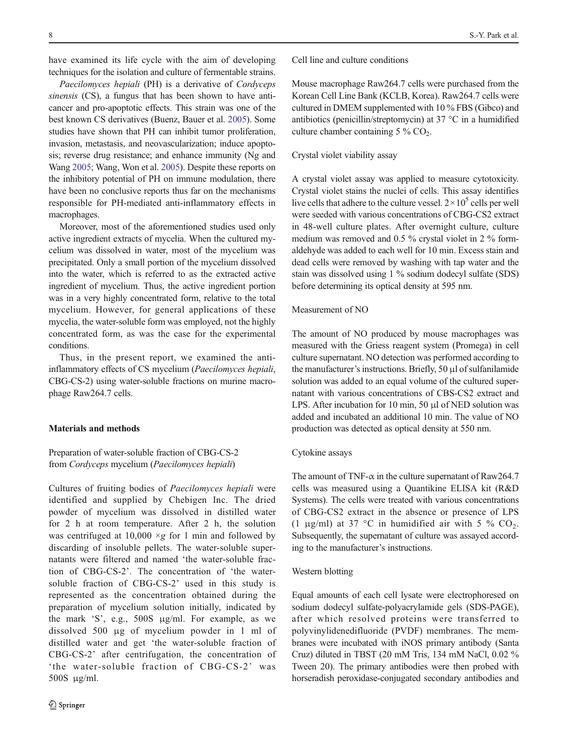have examined its life cycle with the aim of developing techniques for the isolation and culture of fermentable strains.

Paecilomyces hepiali (PH) is a derivative of Cordyceps sinensis (CS), a fungus that has been shown to have anticancer and pro-apoptotic effects. This strain was one of the best known CS derivatives (Buenz, Bauer et al. [2005\)](#page-4-0). Some studies have shown that PH can inhibit tumor proliferation, invasion, metastasis, and neovascularization; induce apoptosis; reverse drug resistance; and enhance immunity (Ng and Wang [2005](#page-4-0); Wang, Won et al. [2005\)](#page-5-0). Despite these reports on the inhibitory potential of PH on immune modulation, there have been no conclusive reports thus far on the mechanisms responsible for PH-mediated anti-inflammatory effects in macrophages.

Moreover, most of the aforementioned studies used only active ingredient extracts of mycelia. When the cultured mycelium was dissolved in water, most of the mycelium was precipitated. Only a small portion of the mycelium dissolved into the water, which is referred to as the extracted active ingredient of mycelium. Thus, the active ingredient portion was in a very highly concentrated form, relative to the total mycelium. However, for general applications of these mycelia, the water-soluble form was employed, not the highly concentrated form, as was the case for the experimental conditions.

Thus, in the present report, we examined the antiinflammatory effects of CS mycelium (Paecilomyces hepiali, CBG-CS-2) using water-soluble fractions on murine macrophage Raw264.7 cells.

## Materials and methods

# Preparation of water-soluble fraction of CBG-CS-2 from Cordyceps mycelium (Paecilomyces hepiali)

Cultures of fruiting bodies of Paecilomyces hepiali were identified and supplied by Chebigen Inc. The dried powder of mycelium was dissolved in distilled water for 2 h at room temperature. After 2 h, the solution was centrifuged at  $10,000 \times g$  for 1 min and followed by discarding of insoluble pellets. The water-soluble supernatants were filtered and named 'the water-soluble fraction of CBG-CS-2'. The concentration of 'the watersoluble fraction of CBG-CS-2' used in this study is represented as the concentration obtained during the preparation of mycelium solution initially, indicated by the mark 'S', e.g., 500S μg/ml. For example, as we dissolved 500 μg of mycelium powder in 1 ml of distilled water and get 'the water-soluble fraction of CBG-CS-2' after centrifugation, the concentration of 'the water-soluble fraction of CBG-CS-2' was 500S μg/ml.

Cell line and culture conditions

Mouse macrophage Raw264.7 cells were purchased from the Korean Cell Line Bank (KCLB, Korea). Raw264.7 cells were cultured in DMEM supplemented with 10 % FBS (Gibco) and antibiotics (penicillin/streptomycin) at 37 °C in a humidified culture chamber containing  $5\%$  CO<sub>2</sub>.

## Crystal violet viability assay

A crystal violet assay was applied to measure cytotoxicity. Crystal violet stains the nuclei of cells. This assay identifies live cells that adhere to the culture vessel.  $2 \times 10^5$  cells per well were seeded with various concentrations of CBG-CS2 extract in 48-well culture plates. After overnight culture, culture medium was removed and 0.5 % crystal violet in 2 % formaldehyde was added to each well for 10 min. Excess stain and dead cells were removed by washing with tap water and the stain was dissolved using 1 % sodium dodecyl sulfate (SDS) before determining its optical density at 595 nm.

## Measurement of NO

The amount of NO produced by mouse macrophages was measured with the Griess reagent system (Promega) in cell culture supernatant. NO detection was performed according to the manufacturer's instructions. Briefly, 50 μl of sulfanilamide solution was added to an equal volume of the cultured supernatant with various concentrations of CBS-CS2 extract and LPS. After incubation for 10 min, 50 μl of NED solution was added and incubated an additional 10 min. The value of NO production was detected as optical density at 550 nm.

## Cytokine assays

The amount of TNF- $\alpha$  in the culture supernatant of Raw264.7 cells was measured using a Quantikine ELISA kit (R&D Systems). The cells were treated with various concentrations of CBG-CS2 extract in the absence or presence of LPS (1 μg/ml) at 37 °C in humidified air with 5 %  $CO<sub>2</sub>$ . Subsequently, the supernatant of culture was assayed according to the manufacturer's instructions.

## Western blotting

Equal amounts of each cell lysate were electrophoresed on sodium dodecyl sulfate-polyacrylamide gels (SDS-PAGE), after which resolved proteins were transferred to polyvinylidenedifluoride (PVDF) membranes. The membranes were incubated with iNOS primary antibody (Santa Cruz) diluted in TBST (20 mM Tris, 134 mM NaCl, 0.02 % Tween 20). The primary antibodies were then probed with horseradish peroxidase-conjugated secondary antibodies and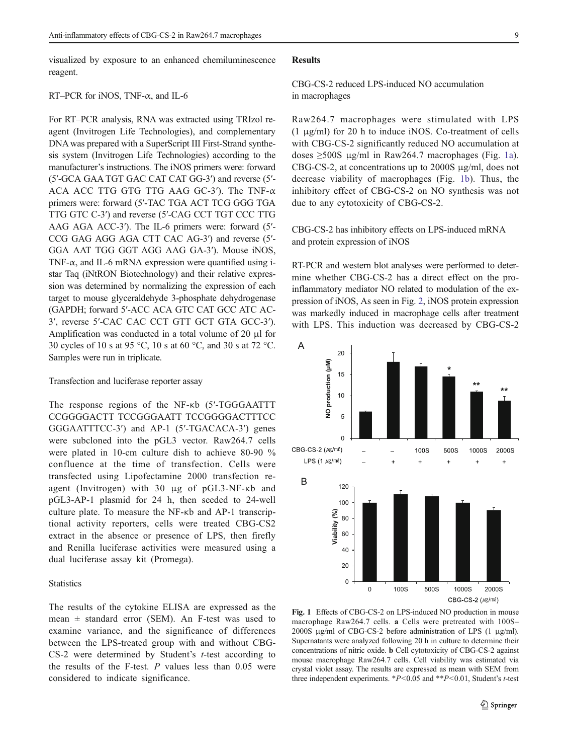visualized by exposure to an enhanced chemiluminescence reagent.

## RT–PCR for iNOS, TNF-α, and IL-6

For RT–PCR analysis, RNA was extracted using TRIzol reagent (Invitrogen Life Technologies), and complementary DNA was prepared with a SuperScript III First-Strand synthesis system (Invitrogen Life Technologies) according to the manufacturer's instructions. The iNOS primers were: forward (5′-GCA GAA TGT GAC CAT CAT GG-3′) and reverse (5′- ACA ACC TTG GTG TTG AAG GC-3′). The TNF-α primers were: forward (5′-TAC TGA ACT TCG GGG TGA TTG GTC C-3′) and reverse (5′-CAG CCT TGT CCC TTG AAG AGA ACC-3′). The IL-6 primers were: forward (5′- CCG GAG AGG AGA CTT CAC AG-3′) and reverse (5′- GGA AAT TGG GGT AGG AAG GA-3′). Mouse iNOS, TNF- $\alpha$ , and IL-6 mRNA expression were quantified using istar Taq (iNtRON Biotechnology) and their relative expression was determined by normalizing the expression of each target to mouse glyceraldehyde 3-phosphate dehydrogenase (GAPDH; forward 5′-ACC ACA GTC CAT GCC ATC AC-3′, reverse 5′-CAC CAC CCT GTT GCT GTA GCC-3′). Amplification was conducted in a total volume of 20 μl for 30 cycles of 10 s at 95 °C, 10 s at 60 °C, and 30 s at 72 °C. Samples were run in triplicate.

## Transfection and luciferase reporter assay

The response regions of the NF-κb (5′-TGGGAATTT CCGGGGACTT TCCGGGAATT TCCGGGGACTTTCC GGGAATTTCC-3′) and AP-1 (5′-TGACACA-3′) genes were subcloned into the pGL3 vector. Raw264.7 cells were plated in 10-cm culture dish to achieve 80-90 % confluence at the time of transfection. Cells were transfected using Lipofectamine 2000 transfection reagent (Invitrogen) with 30 μg of pGL3-NF-κb and pGL3-AP-1 plasmid for 24 h, then seeded to 24-well culture plate. To measure the NF-κb and AP-1 transcriptional activity reporters, cells were treated CBG-CS2 extract in the absence or presence of LPS, then firefly and Renilla luciferase activities were measured using a dual luciferase assay kit (Promega).

#### **Statistics**

The results of the cytokine ELISA are expressed as the mean  $\pm$  standard error (SEM). An F-test was used to examine variance, and the significance of differences between the LPS-treated group with and without CBG- $CS-2$  were determined by Student's  $t$ -test according to the results of the F-test.  $P$  values less than  $0.05$  were considered to indicate significance.

#### Results

# CBG-CS-2 reduced LPS-induced NO accumulation in macrophages

Raw264.7 macrophages were stimulated with LPS (1 μg/ml) for 20 h to induce iNOS. Co-treatment of cells with CBG-CS-2 significantly reduced NO accumulation at doses ≥500S μg/ml in Raw264.7 macrophages (Fig. 1a). CBG-CS-2, at concentrations up to 2000S μg/ml, does not decrease viability of macrophages (Fig. 1b). Thus, the inhibitory effect of CBG-CS-2 on NO synthesis was not due to any cytotoxicity of CBG-CS-2.

CBG-CS-2 has inhibitory effects on LPS-induced mRNA and protein expression of iNOS

RT-PCR and western blot analyses were performed to determine whether CBG-CS-2 has a direct effect on the proinflammatory mediator NO related to modulation of the expression of iNOS, As seen in Fig. [2,](#page-3-0) iNOS protein expression was markedly induced in macrophage cells after treatment with LPS. This induction was decreased by CBG-CS-2



Fig. 1 Effects of CBG-CS-2 on LPS-induced NO production in mouse macrophage Raw264.7 cells. a Cells were pretreated with 100S– 2000S μg/ml of CBG-CS-2 before administration of LPS (1 μg/ml). Supernatants were analyzed following 20 h in culture to determine their concentrations of nitric oxide. b Cell cytotoxicity of CBG-CS-2 against mouse macrophage Raw264.7 cells. Cell viability was estimated via crystal violet assay. The results are expressed as mean with SEM from three independent experiments.  $*P<0.05$  and  $*P<0.01$ , Student's t-test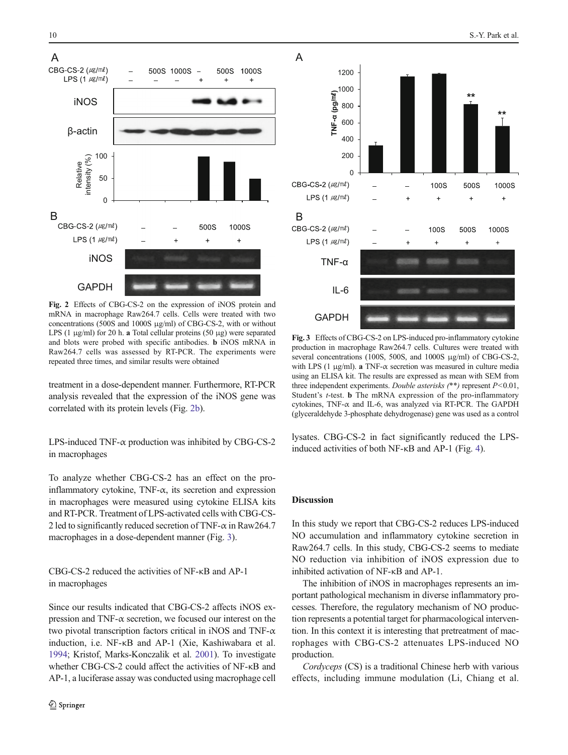<span id="page-3-0"></span>

Fig. 2 Effects of CBG-CS-2 on the expression of iNOS protein and mRNA in macrophage Raw264.7 cells. Cells were treated with two concentrations (500S and 1000S μg/ml) of CBG-CS-2, with or without LPS (1  $\mu$ g/ml) for 20 h. a Total cellular proteins (50  $\mu$ g) were separated and blots were probed with specific antibodies. b iNOS mRNA in Raw264.7 cells was assessed by RT-PCR. The experiments were repeated three times, and similar results were obtained

treatment in a dose-dependent manner. Furthermore, RT-PCR analysis revealed that the expression of the iNOS gene was correlated with its protein levels (Fig. 2b).

LPS-induced TNF-α production was inhibited by CBG-CS-2 in macrophages

To analyze whether CBG-CS-2 has an effect on the proinflammatory cytokine, TNF-α, its secretion and expression in macrophages were measured using cytokine ELISA kits and RT-PCR. Treatment of LPS-activated cells with CBG-CS-2 led to significantly reduced secretion of TNF- $\alpha$  in Raw264.7 macrophages in a dose-dependent manner (Fig. 3).

CBG-CS-2 reduced the activities of NF-κB and AP-1 in macrophages

Since our results indicated that CBG-CS-2 affects iNOS expression and TNF- $\alpha$  secretion, we focused our interest on the two pivotal transcription factors critical in iNOS and TNF- $\alpha$ induction, i.e. NF-κB and AP-1 (Xie, Kashiwabara et al. [1994;](#page-5-0) Kristof, Marks-Konczalik et al. [2001](#page-4-0)). To investigate whether CBG-CS-2 could affect the activities of NF-κB and AP-1, a luciferase assay was conducted using macrophage cell



Fig. 3 Effects of CBG-CS-2 on LPS-induced pro-inflammatory cytokine production in macrophage Raw264.7 cells. Cultures were treated with several concentrations (100S, 500S, and 1000S μg/ml) of CBG-CS-2, with LPS (1  $\mu$ g/ml). **a** TNF- $\alpha$  secretion was measured in culture media using an ELISA kit. The results are expressed as mean with SEM from three independent experiments. Double asterisks  $(**)$  represent  $P<0.01$ , Student's t-test. b The mRNA expression of the pro-inflammatory cytokines, TNF-α and IL-6, was analyzed via RT-PCR. The GAPDH (glyceraldehyde 3-phosphate dehydrogenase) gene was used as a control

lysates. CBG-CS-2 in fact significantly reduced the LPSinduced activities of both NF-κB and AP-1 (Fig. [4\)](#page-4-0).

## Discussion

In this study we report that CBG-CS-2 reduces LPS-induced NO accumulation and inflammatory cytokine secretion in Raw264.7 cells. In this study, CBG-CS-2 seems to mediate NO reduction via inhibition of iNOS expression due to inhibited activation of NF-κB and AP-1.

The inhibition of iNOS in macrophages represents an important pathological mechanism in diverse inflammatory processes. Therefore, the regulatory mechanism of NO production represents a potential target for pharmacological intervention. In this context it is interesting that pretreatment of macrophages with CBG-CS-2 attenuates LPS-induced NO production.

Cordyceps (CS) is a traditional Chinese herb with various effects, including immune modulation (Li, Chiang et al.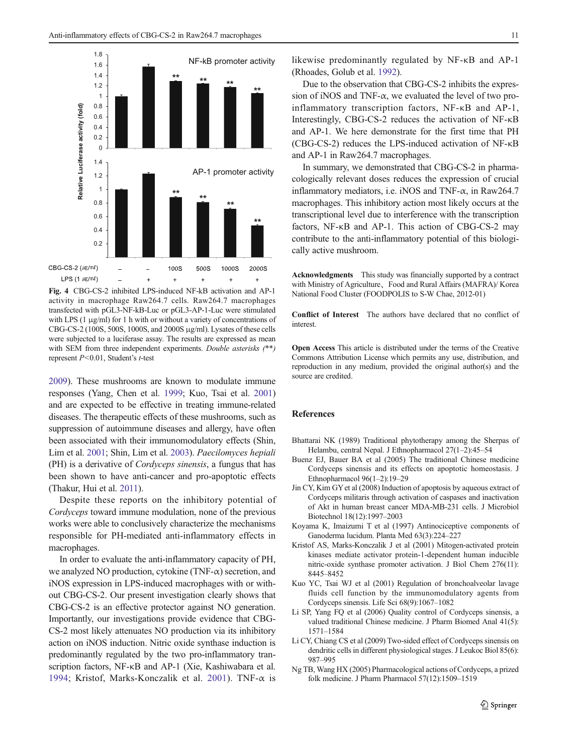<span id="page-4-0"></span>

Fig. 4 CBG-CS-2 inhibited LPS-induced NF-kB activation and AP-1 activity in macrophage Raw264.7 cells. Raw264.7 macrophages transfected with pGL3-NF-kB-Luc or pGL3-AP-1-Luc were stimulated with LPS (1 μg/ml) for 1 h with or without a variety of concentrations of CBG-CS-2 (100S, 500S, 1000S, and 2000S μg/ml). Lysates of these cells were subjected to a luciferase assay. The results are expressed as mean with SEM from three independent experiments. Double asterisks (\*\*) represent P<0.01, Student's t-test

2009). These mushrooms are known to modulate immune responses (Yang, Chen et al. [1999;](#page-5-0) Kuo, Tsai et al. 2001) and are expected to be effective in treating immune-related diseases. The therapeutic effects of these mushrooms, such as suppression of autoimmune diseases and allergy, have often been associated with their immunomodulatory effects (Shin, Lim et al. [2001;](#page-5-0) Shin, Lim et al. [2003](#page-5-0)). Paecilomyces hepiali (PH) is a derivative of Cordyceps sinensis, a fungus that has been shown to have anti-cancer and pro-apoptotic effects (Thakur, Hui et al. [2011\)](#page-5-0).

Despite these reports on the inhibitory potential of Cordyceps toward immune modulation, none of the previous works were able to conclusively characterize the mechanisms responsible for PH-mediated anti-inflammatory effects in macrophages.

In order to evaluate the anti-inflammatory capacity of PH, we analyzed NO production, cytokine (TNF- $\alpha$ ) secretion, and iNOS expression in LPS-induced macrophages with or without CBG-CS-2. Our present investigation clearly shows that CBG-CS-2 is an effective protector against NO generation. Importantly, our investigations provide evidence that CBG-CS-2 most likely attenuates NO production via its inhibitory action on iNOS induction. Nitric oxide synthase induction is predominantly regulated by the two pro-inflammatory transcription factors, NF-κB and AP-1 (Xie, Kashiwabara et al. [1994;](#page-5-0) Kristof, Marks-Konczalik et al. 2001). TNF- $\alpha$  is

Due to the observation that CBG-CS-2 inhibits the expression of iNOS and TNF- $\alpha$ , we evaluated the level of two proinflammatory transcription factors, NF-κB and AP-1, Interestingly, CBG-CS-2 reduces the activation of NF-κB and AP-1. We here demonstrate for the first time that PH (CBG-CS-2) reduces the LPS-induced activation of NF-κB and AP-1 in Raw264.7 macrophages.

In summary, we demonstrated that CBG-CS-2 in pharmacologically relevant doses reduces the expression of crucial inflammatory mediators, i.e. iNOS and TNF-α, in Raw264.7 macrophages. This inhibitory action most likely occurs at the transcriptional level due to interference with the transcription factors, NF-κB and AP-1. This action of CBG-CS-2 may contribute to the anti-inflammatory potential of this biologically active mushroom.

Acknowledgments This study was financially supported by a contract with Ministry of Agriculture、Food and Rural Affairs (MAFRA)/ Korea National Food Cluster (FOODPOLIS to S-W Chae, 2012-01)

Conflict of Interest The authors have declared that no conflict of interest.

Open Access This article is distributed under the terms of the Creative Commons Attribution License which permits any use, distribution, and reproduction in any medium, provided the original author(s) and the source are credited.

#### References

- Bhattarai NK (1989) Traditional phytotherapy among the Sherpas of Helambu, central Nepal. J Ethnopharmacol 27(1–2):45–54
- Buenz EJ, Bauer BA et al (2005) The traditional Chinese medicine Cordyceps sinensis and its effects on apoptotic homeostasis. J Ethnopharmacol 96(1–2):19–29
- Jin CY, Kim GY et al (2008) Induction of apoptosis by aqueous extract of Cordyceps militaris through activation of caspases and inactivation of Akt in human breast cancer MDA-MB-231 cells. J Microbiol Biotechnol 18(12):1997–2003
- Koyama K, Imaizumi T et al (1997) Antinociceptive components of Ganoderma lucidum. Planta Med 63(3):224–227
- Kristof AS, Marks-Konczalik J et al (2001) Mitogen-activated protein kinases mediate activator protein-1-dependent human inducible nitric-oxide synthase promoter activation. J Biol Chem 276(11): 8445–8452
- Kuo YC, Tsai WJ et al (2001) Regulation of bronchoalveolar lavage fluids cell function by the immunomodulatory agents from Cordyceps sinensis. Life Sci 68(9):1067–1082
- Li SP, Yang FQ et al (2006) Quality control of Cordyceps sinensis, a valued traditional Chinese medicine. J Pharm Biomed Anal 41(5): 1571–1584
- Li CY, Chiang CS et al (2009) Two-sided effect of Cordyceps sinensis on dendritic cells in different physiological stages. J Leukoc Biol 85(6): 987–995
- Ng TB, Wang HX (2005) Pharmacological actions of Cordyceps, a prized folk medicine. J Pharm Pharmacol 57(12):1509–1519